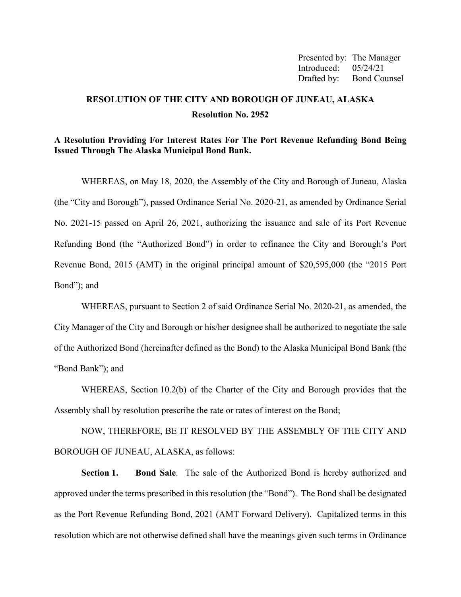Presented by: The Manager Introduced: 05/24/21 Drafted by: Bond Counsel

# **RESOLUTION OF THE CITY AND BOROUGH OF JUNEAU, ALASKA Resolution No. 2952**

#### **A Resolution Providing For Interest Rates For The Port Revenue Refunding Bond Being Issued Through The Alaska Municipal Bond Bank.**

WHEREAS, on May 18, 2020, the Assembly of the City and Borough of Juneau, Alaska (the "City and Borough"), passed Ordinance Serial No. 2020-21, as amended by Ordinance Serial No. 2021-15 passed on April 26, 2021, authorizing the issuance and sale of its Port Revenue Refunding Bond (the "Authorized Bond") in order to refinance the City and Borough's Port Revenue Bond, 2015 (AMT) in the original principal amount of \$20,595,000 (the "2015 Port Bond"); and

WHEREAS, pursuant to Section 2 of said Ordinance Serial No. 2020-21, as amended, the City Manager of the City and Borough or his/her designee shall be authorized to negotiate the sale of the Authorized Bond (hereinafter defined as the Bond) to the Alaska Municipal Bond Bank (the "Bond Bank"); and

WHEREAS, Section 10.2(b) of the Charter of the City and Borough provides that the Assembly shall by resolution prescribe the rate or rates of interest on the Bond;

NOW, THEREFORE, BE IT RESOLVED BY THE ASSEMBLY OF THE CITY AND BOROUGH OF JUNEAU, ALASKA, as follows:

**Section 1. Bond Sale**. The sale of the Authorized Bond is hereby authorized and approved under the terms prescribed in this resolution (the "Bond"). The Bond shall be designated as the Port Revenue Refunding Bond, 2021 (AMT Forward Delivery). Capitalized terms in this resolution which are not otherwise defined shall have the meanings given such terms in Ordinance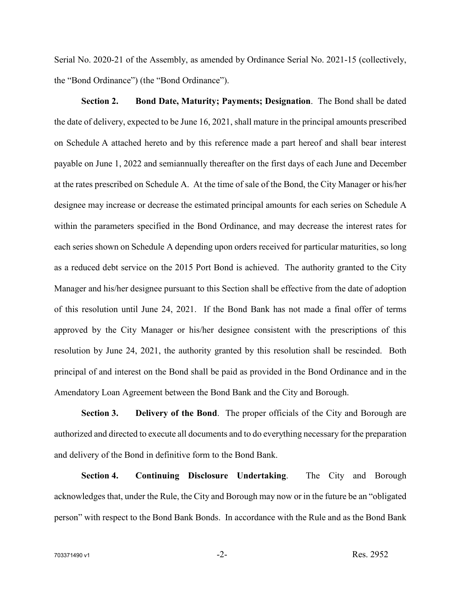Serial No. 2020-21 of the Assembly, as amended by Ordinance Serial No. 2021-15 (collectively, the "Bond Ordinance") (the "Bond Ordinance").

**Section 2. Bond Date, Maturity; Payments; Designation**. The Bond shall be dated the date of delivery, expected to be June 16, 2021, shall mature in the principal amounts prescribed on Schedule A attached hereto and by this reference made a part hereof and shall bear interest payable on June 1, 2022 and semiannually thereafter on the first days of each June and December at the rates prescribed on Schedule A. At the time of sale of the Bond, the City Manager or his/her designee may increase or decrease the estimated principal amounts for each series on Schedule A within the parameters specified in the Bond Ordinance, and may decrease the interest rates for each series shown on Schedule A depending upon orders received for particular maturities, so long as a reduced debt service on the 2015 Port Bond is achieved. The authority granted to the City Manager and his/her designee pursuant to this Section shall be effective from the date of adoption of this resolution until June 24, 2021. If the Bond Bank has not made a final offer of terms approved by the City Manager or his/her designee consistent with the prescriptions of this resolution by June 24, 2021, the authority granted by this resolution shall be rescinded. Both principal of and interest on the Bond shall be paid as provided in the Bond Ordinance and in the Amendatory Loan Agreement between the Bond Bank and the City and Borough.

**Section 3. Delivery of the Bond**. The proper officials of the City and Borough are authorized and directed to execute all documents and to do everything necessary for the preparation and delivery of the Bond in definitive form to the Bond Bank.

**Section 4. Continuing Disclosure Undertaking**. The City and Borough acknowledges that, under the Rule, the City and Borough may now or in the future be an "obligated person" with respect to the Bond Bank Bonds. In accordance with the Rule and as the Bond Bank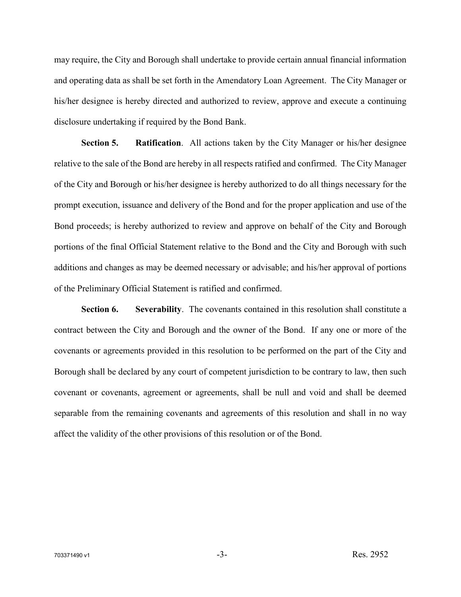may require, the City and Borough shall undertake to provide certain annual financial information and operating data as shall be set forth in the Amendatory Loan Agreement. The City Manager or his/her designee is hereby directed and authorized to review, approve and execute a continuing disclosure undertaking if required by the Bond Bank.

**Section 5. Ratification**. All actions taken by the City Manager or his/her designee relative to the sale of the Bond are hereby in all respects ratified and confirmed. The City Manager of the City and Borough or his/her designee is hereby authorized to do all things necessary for the prompt execution, issuance and delivery of the Bond and for the proper application and use of the Bond proceeds; is hereby authorized to review and approve on behalf of the City and Borough portions of the final Official Statement relative to the Bond and the City and Borough with such additions and changes as may be deemed necessary or advisable; and his/her approval of portions of the Preliminary Official Statement is ratified and confirmed.

**Section 6. Severability**. The covenants contained in this resolution shall constitute a contract between the City and Borough and the owner of the Bond. If any one or more of the covenants or agreements provided in this resolution to be performed on the part of the City and Borough shall be declared by any court of competent jurisdiction to be contrary to law, then such covenant or covenants, agreement or agreements, shall be null and void and shall be deemed separable from the remaining covenants and agreements of this resolution and shall in no way affect the validity of the other provisions of this resolution or of the Bond.

 $703371490 \text{ v1}$  Res. 2952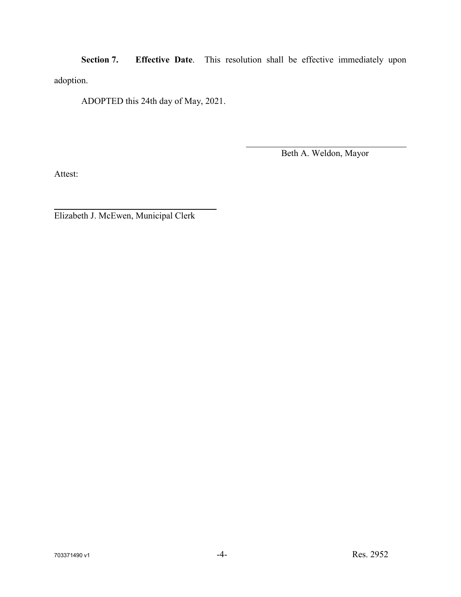**Section 7. Effective Date**. This resolution shall be effective immediately upon adoption.

ADOPTED this 24th day of May, 2021.

Beth A. Weldon, Mayor

Attest:

Elizabeth J. McEwen, Municipal Clerk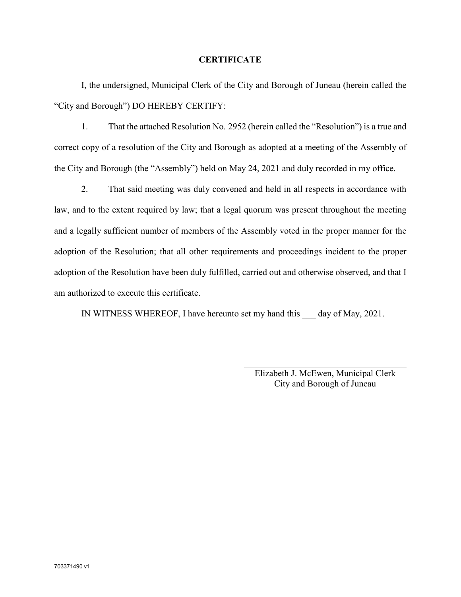#### **CERTIFICATE**

I, the undersigned, Municipal Clerk of the City and Borough of Juneau (herein called the "City and Borough") DO HEREBY CERTIFY:

1. That the attached Resolution No. 2952 (herein called the "Resolution") is a true and correct copy of a resolution of the City and Borough as adopted at a meeting of the Assembly of the City and Borough (the "Assembly") held on May 24, 2021 and duly recorded in my office.

2. That said meeting was duly convened and held in all respects in accordance with law, and to the extent required by law; that a legal quorum was present throughout the meeting and a legally sufficient number of members of the Assembly voted in the proper manner for the adoption of the Resolution; that all other requirements and proceedings incident to the proper adoption of the Resolution have been duly fulfilled, carried out and otherwise observed, and that I am authorized to execute this certificate.

IN WITNESS WHEREOF, I have hereunto set my hand this \_\_\_ day of May, 2021.

Elizabeth J. McEwen, Municipal Clerk City and Borough of Juneau